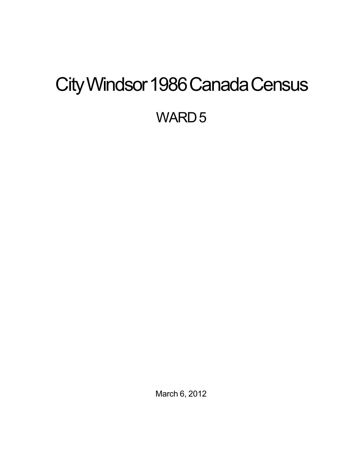# <span id="page-0-0"></span>City Windsor 1986 Canada Census

WARD<sub>5</sub>

March 6, 2012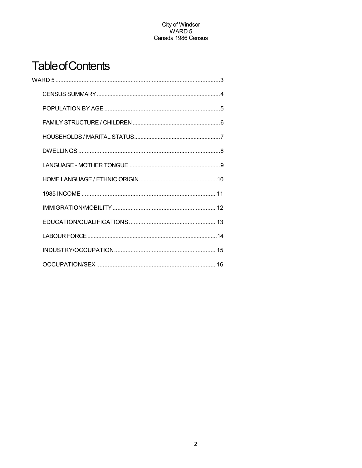## **Table of Contents**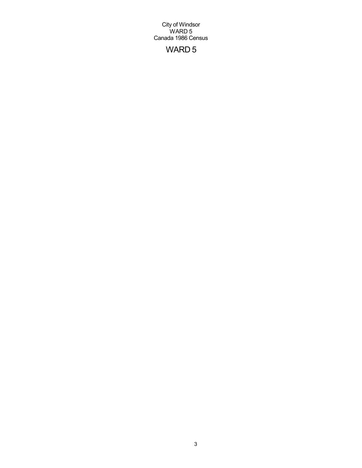## WARD 5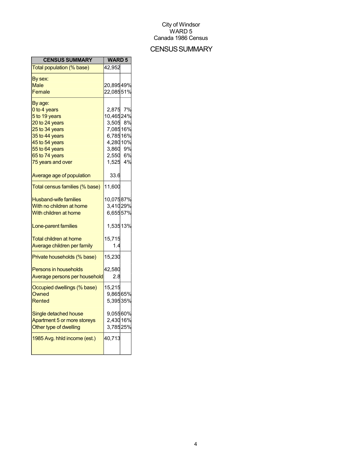## **CENSUS SUMMARY**

| <b>CENSUS SUMMARY</b>          | <b>WARD 5</b>        |    |
|--------------------------------|----------------------|----|
| Total population (% base)      | 42,952               |    |
| By sex:                        |                      |    |
| Male                           | 20,89549%            |    |
| Female                         | 22,08551%            |    |
| By age:                        |                      |    |
| 0 to 4 years                   | 2,875                | 7% |
| 5 to 19 years                  | 10,46524%            |    |
| 20 to 24 years                 |                      |    |
| 25 to 34 years                 | 3,505 8%<br>7,08516% |    |
| 35 to 44 years                 | 6,78516%             |    |
| 45 to 54 years                 | 4,28010%             |    |
| 55 to 64 years                 | 3,860                | 9% |
| 65 to 74 years                 | 2,550 6%             |    |
| 75 years and over              | 1,525 4%             |    |
| Average age of population      | 33.6                 |    |
| Total census families (% base) | 11,600               |    |
| <b>Husband-wife families</b>   | 10,07587%            |    |
| With no children at home       | 3,41029%             |    |
| With children at home          | 6,65557%             |    |
| Lone-parent families           | 1,53513%             |    |
| <b>Total children at home</b>  | 15,715               |    |
| Average children per family    | 1.4                  |    |
| Private households (% base)    | 15,230               |    |
| <b>Persons in households</b>   | 42,580               |    |
| Average persons per household  | 2.8                  |    |
| Occupied dwellings (% base)    | 15,215               |    |
| Owned                          | 9,86565%             |    |
| Rented                         | 5,39535%             |    |
| Single detached house          | 9,05560%             |    |
| Apartment 5 or more storeys    | 2,43016%             |    |
| Other type of dwelling         | 3,78525%             |    |
|                                |                      |    |
| 1985 Avg. hhld income (est.)   | 40,713               |    |
|                                |                      |    |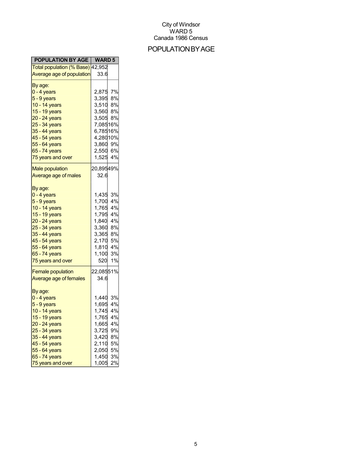## POPULATIONBYAGE

| <b>POPULATION BY AGE   WARD 5</b> |           |    |
|-----------------------------------|-----------|----|
| Total population (% Base) 42,952  |           |    |
| Average age of population         | 33.6      |    |
| By age:                           |           |    |
| <mark>0 - 4 years</mark>          | 2,875 7%  |    |
| 5 - 9 years                       | 3,395     | 8% |
| 10 - 14 years                     | 3,510 8%  |    |
| 15 - 19 years                     | 3,560     | 8% |
| 20 - 24 years                     | 3,505 8%  |    |
| 25 - 34 years                     | 7,08516%  |    |
| 35 - 44 years                     | 6,78516%  |    |
| 45 - 54 years                     | 4,28010%  |    |
| 55 - 64 years                     | 3,860     | 9% |
| 65 - 74 years                     | 2,550 6%  |    |
| 75 years and over                 | 1,525     | 4% |
|                                   |           |    |
| <b>Male population</b>            | 20,89549% |    |
| Average age of males              | 32.6      |    |
|                                   |           |    |
| By age:                           |           |    |
| <mark>0 - 4 years</mark>          | 1,435     | 3% |
| 5 - 9 years                       | 1,700     | 4% |
| 10 - 14 years                     | 1,765     | 4% |
| 15 - 19 years                     | 1,795     | 4% |
| 20 - 24 years                     | 1,840     | 4% |
| 25 - 34 years                     | 3,360     | 8% |
| 35 - 44 years                     | 3,365     | 8% |
| 45 - 54 years                     | 2,170     | 5% |
| 55 - 64 years                     | 1,810     | 4% |
| 65 - 74 years                     | 1,100     | 3% |
| 75 years and over                 | 520       | 1% |
| <b>Female population</b>          | 22,08551% |    |
| Average age of females            | 34.6      |    |
|                                   |           |    |
| By age:                           |           |    |
| 0 - 4 years                       | 1,440     | 3% |
| 5 - 9 years                       | 1,695     | 4% |
| 10 - 14 years                     | 1,745     | 4% |
| 15 - 19 years                     | 1,765     | 4% |
| 20 - 24 years                     | 1,665     | 4% |
| 25 - 34 years                     | 3,725     | 9% |
| 35 - 44 years                     | 3,420     | 8% |
| 45 - 54 years                     | 2,110     | 5% |
| 55 - 64 years                     | 2,050     | 5% |
| 65 - 74 years                     | 1,450     | 3% |
| 75 years and over                 | 1,005     | 2% |
|                                   |           |    |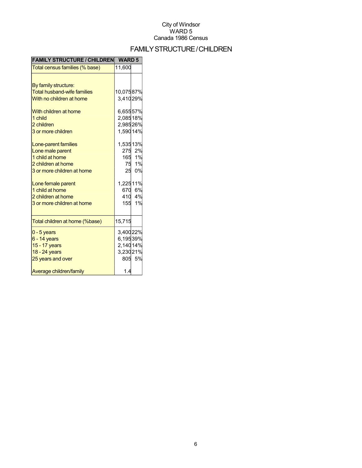## FAMILYSTRUCTURE/CHILDREN

| <b>FAMILY STRUCTURE / CHILDREN</b> | <b>WARD 5</b> |        |
|------------------------------------|---------------|--------|
| Total census families (% base)     | 11,600        |        |
|                                    |               |        |
| By family structure:               |               |        |
| <b>Total husband-wife families</b> | 10,07587%     |        |
| With no children at home           | 3,41029%      |        |
|                                    |               |        |
| With children at home              | 6,65557%      |        |
| 1 child                            | 2,08518%      |        |
| 2 children                         | 2,98526%      |        |
| 3 or more children                 | 1,590 14%     |        |
| Lone-parent families               | 1,53513%      |        |
| Lone male parent                   |               | 275 2% |
| 1 child at home                    |               | 165 1% |
| 2 children at home                 |               | 75 1%  |
| 3 or more children at home         |               | 25 0%  |
|                                    |               |        |
| Lone female parent                 | 1,22511%      |        |
| 1 child at home                    |               | 670 6% |
| 2 children at home                 |               | 410 4% |
| 3 or more children at home         | 155           | 1%     |
|                                    |               |        |
| Total children at home (%base)     | 15,715        |        |
| $0 - 5$ years                      | 3,40022%      |        |
| $6 - 14$ years                     | 6,19539%      |        |
| 15 - 17 years                      | 2,14014%      |        |
| 18 - 24 years                      | 3,23021%      |        |
| 25 years and over                  |               | 805 5% |
| Average children/family            | 1.4           |        |
|                                    |               |        |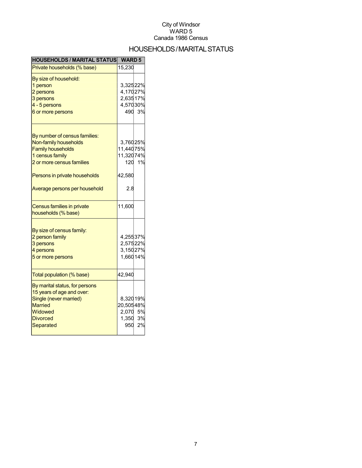## HOUSEHOLDS/MARITALSTATUS

| <b>HOUSEHOLDS / MARITAL STATUS</b> | <b>WARD 5</b> |        |
|------------------------------------|---------------|--------|
| Private households (% base)        | 15,230        |        |
| By size of household:              |               |        |
| 1 person                           | 3,32522%      |        |
| 2 persons                          | 4,17027%      |        |
| 3 persons                          | 2,63517%      |        |
| 4 - 5 persons                      | 4,57030%      |        |
| 6 or more persons                  |               | 490 3% |
| By number of census families:      |               |        |
| Non-family households              | 3,76025%      |        |
| <b>Family households</b>           | 11,44075%     |        |
| 1 census family                    | 11,320 74%    |        |
| 2 or more census families          |               | 120 1% |
|                                    |               |        |
| Persons in private households      | 42,580        |        |
| Average persons per household      | 2.8           |        |
| Census families in private         | 11,600        |        |
| households (% base)                |               |        |
| By size of census family:          |               |        |
| 2 person family                    | 4,25537%      |        |
| 3 persons                          | 2,57522%      |        |
| 4 persons                          | 3,15027%      |        |
| 5 or more persons                  | 1,66014%      |        |
| Total population (% base)          | 42,940        |        |
| By marital status, for persons     |               |        |
| 15 years of age and over:          |               |        |
| Single (never married)             | 8,32019%      |        |
| <b>Married</b>                     | 20,50548%     |        |
| Widowed                            | 2,070 5%      |        |
| <b>Divorced</b>                    | 1,350 3%      |        |
| Separated                          | 950           | 2%     |
|                                    |               |        |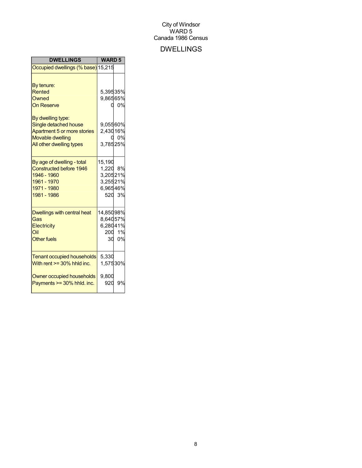## DWELLINGS

| <b>DWELLINGS</b>                                                                                                                                           | <b>WARD 5</b>                                          |                |
|------------------------------------------------------------------------------------------------------------------------------------------------------------|--------------------------------------------------------|----------------|
| Occupied dwellings (% base) 15,215                                                                                                                         |                                                        |                |
| By tenure:<br>Rented<br>Owned<br><b>On Reserve</b><br>By dwelling type:<br>Single detached house<br>Apartment 5 or more stories<br><b>Movable dwelling</b> | 5,39535%<br>9,86565%<br>9,05560%<br>2,43016%           | 0%<br>0.<br>0% |
| All other dwelling types                                                                                                                                   | 3,78525%                                               |                |
| By age of dwelling - total<br><b>Constructed before 1946</b><br>1946 - 1960<br>1961 - 1970<br>1971 - 1980<br>1981 - 1986                                   | 15,190<br>1,220 8%<br>3,20521%<br>3,25521%<br>6,96546% | 520 3%         |
| Dwellings with central heat<br>Gas<br>Electricity<br>Oil<br><b>Other fuels</b>                                                                             | 14,85098%<br>8,64057%<br>6,28041%<br>30                | 200 1%<br>0%   |
| <b>Tenant occupied households</b><br>With rent $>=$ 30% hhld inc.                                                                                          | 5,330<br>1,57530%                                      |                |
| Owner occupied households<br>Payments >= 30% hhld. inc.                                                                                                    | 9,800<br>920                                           | 9%             |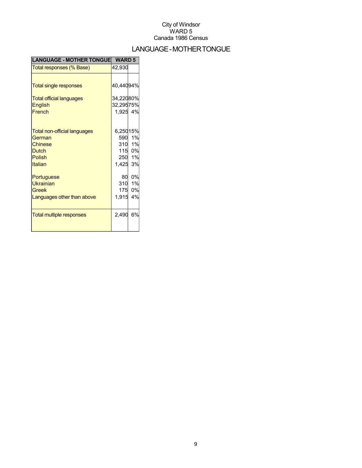## LANGUAGE-MOTHERTONGUE

| <b>LANGUAGE - MOTHER TONGUE</b>     | <b>WARD 5</b> |        |
|-------------------------------------|---------------|--------|
| Total responses (% Base)            | 42,930        |        |
|                                     |               |        |
| <b>Total single responses</b>       | 40,44094%     |        |
| <b>Total official languages</b>     | 34,22080%     |        |
| <b>English</b>                      | 32,29575%     |        |
| French                              | 1,925 4%      |        |
|                                     |               |        |
| <b>Total non-official languages</b> | 6,25015%      |        |
| German                              |               | 590 1% |
| <b>Chinese</b>                      |               | 310 1% |
| <b>Dutch</b>                        |               | 115 0% |
| <b>Polish</b>                       |               | 250 1% |
| Italian                             | 1,425 3%      |        |
| Portuguese                          | 80            | 0%     |
| <b>Ukrainian</b>                    | 310           | 1%     |
| Greek                               |               | 175 0% |
| Languages other than above          | 1,915         | 4%     |
|                                     |               |        |
| <b>Total multiple responses</b>     | 2,490         | 6%     |
|                                     |               |        |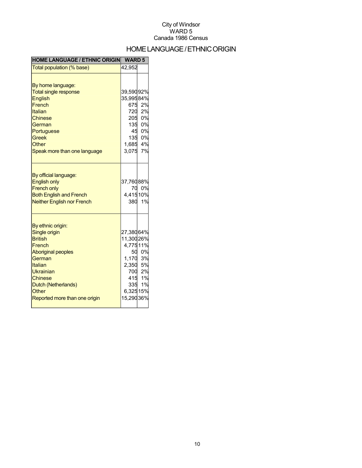## HOME LANGUAGE / ETHNIC ORIGIN

| <b>HOME LANGUAGE / ETHNIC ORIGIN</b>                                                                                                                                                                             | <b>WARD 5</b>                                                                               |                                          |
|------------------------------------------------------------------------------------------------------------------------------------------------------------------------------------------------------------------|---------------------------------------------------------------------------------------------|------------------------------------------|
| Total population (% base)                                                                                                                                                                                        | 42,952                                                                                      |                                          |
| By home language:<br><b>Total single response</b><br><b>English</b><br>French<br>Italian<br><b>Chinese</b><br>German                                                                                             | 39,59092%<br>35,99584%                                                                      | 675 2%<br>720 2%<br>205 0%               |
| Portuguese<br><b>Greek</b><br>Other<br>Speak more than one language                                                                                                                                              | 135 0%<br>45 0%<br>135 0%<br>1,685 4%<br>3,075                                              | 7%                                       |
| By official language:<br><b>English only</b><br><b>French only</b><br><b>Both English and French</b><br><b>Neither English nor French</b>                                                                        | 37,76088%<br>70<br>4,41510%                                                                 | 0%<br>380 1%                             |
| By ethnic origin:<br>Single origin<br><b>British</b><br>French<br><b>Aboriginal peoples</b><br>German<br>Italian<br>Ukrainian<br><b>Chinese</b><br>Dutch (Netherlands)<br>Other<br>Reported more than one origin | 27,38064%<br>11,300 26%<br>4,77511%<br>50<br>1,170<br>2,350<br>700<br>6,32515%<br>15,29036% | 0%<br>3%<br>5%<br>2%<br>415 1%<br>335 1% |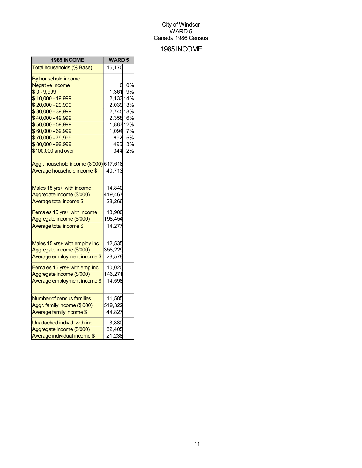## 1985INCOME

| 1985 INCOME                             | <b>WARD 5</b> |    |
|-----------------------------------------|---------------|----|
| Total households (% Base)               | 15,170        |    |
| By household income:                    |               |    |
| <b>Negative Income</b>                  | Ü             | 0% |
| $$0 - 9,999$                            | 1,361         | 9% |
| \$10,000 - 19,999                       | 2,13314%      |    |
| \$20,000 - 29,999                       | 2,03913%      |    |
| \$30,000 - 39,999                       | 2,74518%      |    |
| \$40,000 - 49,999                       | 2,35816%      |    |
| \$50,000 - 59,999                       | 1,88712%      |    |
| \$60,000 - 69,999                       | 1,094         | 7% |
| \$70,000 - 79,999                       | 692           | 5% |
| \$80,000 - 99,999                       | 496           | 3% |
| \$100,000 and over                      | 344           | 2% |
| Aggr. household income (\$'000) 617,618 |               |    |
| Average household income \$             | 40,713        |    |
| Males 15 yrs+ with income               | 14,840        |    |
| Aggregate income (\$'000)               | 419,467       |    |
| Average total income \$                 | 28,266        |    |
| Females 15 yrs+ with income             | 13,900        |    |
| Aggregate income (\$'000)               | 198,454       |    |
| Average total income \$                 | 14,277        |    |
| Males 15 yrs+ with employ.inc           | 12,535        |    |
| Aggregate income (\$'000)               | 358,229       |    |
| Average employment income \$            | 28,578        |    |
|                                         |               |    |
| Females 15 yrs+ with emp.inc.           | 10,020        |    |
| Aggregate income (\$'000)               | 146,271       |    |
| Average employment income \$            | 14,598        |    |
| <b>Number of census families</b>        | 11,585        |    |
| Aggr. family income (\$'000)            | 519,322       |    |
| Average family income \$                | 44,827        |    |
| Unattached individ. with inc.           | 3,880         |    |
| Aggregate income (\$'000)               | 82,405        |    |
| Average individual income \$            | 21,238        |    |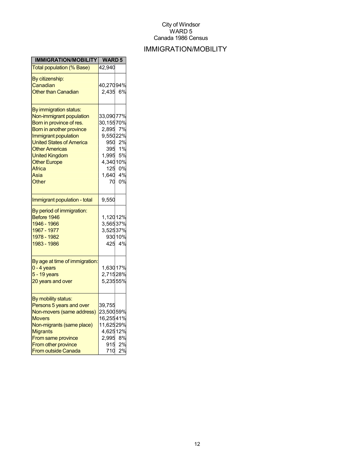## IMMIGRATION/MOBILITY

| <b>IMMIGRATION/MOBILITY</b>                                                                                                                                                                                                                                               | <b>WARD 5</b>                                                                                              |                            |
|---------------------------------------------------------------------------------------------------------------------------------------------------------------------------------------------------------------------------------------------------------------------------|------------------------------------------------------------------------------------------------------------|----------------------------|
| <b>Total population (% Base)</b>                                                                                                                                                                                                                                          | 42,940                                                                                                     |                            |
| By citizenship:<br>Canadian<br><b>Other than Canadian</b>                                                                                                                                                                                                                 | 40,27094%<br>2,435                                                                                         | 6%                         |
| By immigration status:<br>Non-immigrant population<br>Born in province of res.<br>Born in another province<br>Immigrant population<br><b>United States of America</b><br><b>Other Americas</b><br><b>United Kingdom</b><br><b>Other Europe</b><br>Africa<br>Asia<br>Other | 33,09077%<br>30,15570%<br>2,895 7%<br>9,55022%<br>950<br>395<br>1,995<br>4,34010%<br>125<br>1,640 4%<br>70 | 2%<br>1%<br>5%<br>0%<br>0% |
| Immigrant population - total                                                                                                                                                                                                                                              | 9,550                                                                                                      |                            |
| By period of immigration:<br>Before 1946<br>1946 - 1966<br>1967 - 1977<br>1978 - 1982<br>1983 - 1986                                                                                                                                                                      | 1,12012%<br>$3,56537\%$<br>3,52537%                                                                        | 93010%<br>425 4%           |
| By age at time of immigration:<br>$0 - 4$ years<br>$5 - 19$ years<br>20 years and over                                                                                                                                                                                    | 1,63017%<br>2,71528%<br>5,23555%                                                                           |                            |
| By mobility status:<br>Persons 5 years and over<br>Non-movers (same address)<br><b>Movers</b><br>Non-migrants (same place)<br><b>Migrants</b><br>From same province<br>From other province<br><b>From outside Canada</b>                                                  | 39,755<br>23,50059%<br>16,25541%<br>11,62529%<br>4,62512%<br>2,995 8%<br>915<br>710                        | 2%<br>2%                   |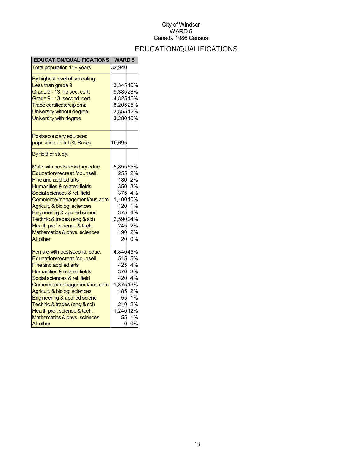## EDUCATION/QUALIFICATIONS

| <b>EDUCATION/QUALIFICATIONS</b>                     | <b>WARD 5</b> |             |
|-----------------------------------------------------|---------------|-------------|
| Total population 15+ years                          | 32,940        |             |
| By highest level of schooling:<br>Less than grade 9 | 3,34510%      |             |
| Grade 9 - 13, no sec. cert.                         | 9,38528%      |             |
| Grade 9 - 13, second. cert.                         | 4,82515%      |             |
| Trade certificate/diploma                           | 8,20525%      |             |
| University without degree                           | 3,85512%      |             |
| University with degree                              | 3,28010%      |             |
| Postsecondary educated                              |               |             |
| population - total (% Base)                         | 10,695        |             |
| By field of study:                                  |               |             |
| Male with postsecondary educ.                       | 5,85555%      |             |
| Education/recreat./counsell.                        | 255           | 2%          |
| Fine and applied arts                               | 180           | 2%          |
| Humanities & related fields                         | 350           | 3%          |
| Social sciences & rel. field                        |               | $375^{4\%}$ |
| Commerce/management/bus.adm.                        | 1,10010%      |             |
| Agricult. & biolog. sciences                        | 120           | 1%          |
| Engineering & applied scienc                        |               | 375 4%      |
| Technic.& trades (eng & sci)                        | 2,59024%      |             |
| Health prof. science & tech.                        | 245           | 2%          |
| Mathematics & phys. sciences                        | 190           | 2%          |
| <b>All other</b>                                    |               | 20 0%       |
| Female with postsecond. educ.                       | 4,84045%      |             |
| Education/recreat./counsell.                        | 515           | 5%          |
| Fine and applied arts                               |               | 425 4%      |
| <b>Humanities &amp; related fields</b>              |               | 370 3%      |
| Social sciences & rel. field                        |               | 420 4%      |
| Commerce/management/bus.adm.                        | 1,37513%      |             |
| Agricult. & biolog. sciences                        |               | 185 2%      |
| Engineering & applied scienc                        | 55            | 1%          |
| Technic.& trades (eng & sci)                        | 210           | 2%          |
| Health prof. science & tech.                        | 1,240 12%     |             |
| Mathematics & phys. sciences                        | 55            | 1%          |
| All other                                           | 0             | 0%          |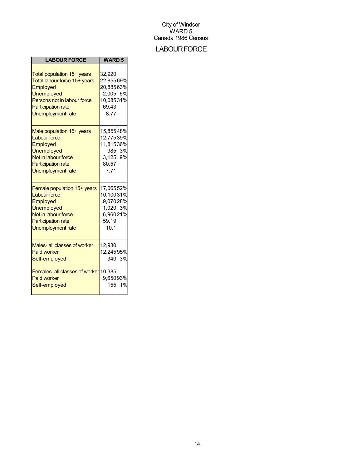## **LABOUR FORCE**

| <b>LABOUR FORCE</b>                                                                                                                                                                 | <b>WARD 5</b>                                                               |              |
|-------------------------------------------------------------------------------------------------------------------------------------------------------------------------------------|-----------------------------------------------------------------------------|--------------|
| Total population 15+ years<br>Total labour force 15+ years<br>Employed<br><b>Unemployed</b><br>Persons not in labour force<br><b>Participation rate</b><br><b>Unemployment rate</b> | 32,920<br>22,85569%<br>20,88563%<br>2,005 6%<br>10,08531%<br>69.43<br>8.77  |              |
| Male population 15+ years<br><b>Labour force</b><br>Employed<br><b>Unemployed</b><br>Not in labour force<br><b>Participation rate</b><br><b>Unemployment rate</b>                   | 15,85548%<br>12,77539%<br>11,81536%<br>3,125 9%<br>80.57<br>7.71            | 985 3%       |
| Female population 15+ years<br><b>Labour force</b><br>Employed<br><b>Unemployed</b><br>Not in labour force<br><b>Participation rate</b><br><b>Unemployment rate</b>                 | 17,06552%<br>10,10031%<br>9,07028%<br>1,020 3%<br>6,96021%<br>59.19<br>10.1 |              |
| Males- all classes of worker<br><b>Paid worker</b><br>Self-employed<br>Females- all classes of worker 10,385<br><b>Paid worker</b><br>Self-employed                                 | 12,930<br>12,24595%<br>9,65093%<br>155                                      | 340 3%<br>1% |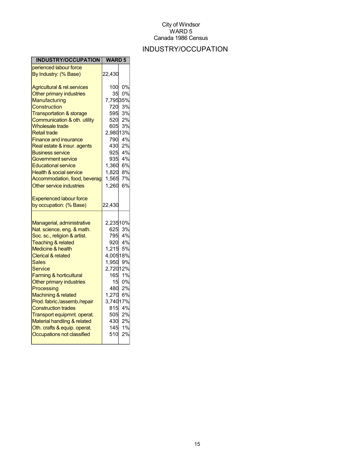## INDUSTRY/OCCUPATION

| <b>INDUSTRY/OCCUPATION</b>                               | <b>WARD 5</b>   |           |
|----------------------------------------------------------|-----------------|-----------|
| perienced labour force                                   |                 |           |
| By Industry: (% Base)                                    | 22,430          |           |
| <b>Agricultural &amp; rel.services</b>                   | 100             | 0%        |
| Other primary industries                                 | 35              | 0%        |
| Manufacturing                                            | 7,79535%        |           |
| Construction                                             | 720             | 3%        |
| <b>Transportation &amp; storage</b>                      | 595             | 3%        |
| Communication & oth. utility                             | 520             | 2%        |
| <b>Wholesale trade</b>                                   | 605             | 3%        |
| <b>Retail trade</b>                                      | 2,98013%        |           |
| <b>Finance and insurance</b>                             | 790             | 4%        |
| Real estate & insur. agents                              | 430             | 2%        |
| <b>Business service</b>                                  | 925             | 4%        |
| Government service                                       | 935             | 4%        |
| <b>Educational service</b>                               | 1,360           | 6%        |
| <b>Health &amp; social service</b>                       | 1,820           | 8%        |
| Accommodation, food, beverag                             | 1,565           | 7%        |
| Other service industries                                 | 1,260           | 6%        |
| <b>Experienced labour force</b>                          |                 |           |
| by occupation: (% Base)                                  | 22,430          |           |
|                                                          |                 |           |
| Managerial, administrative<br>Nat. science, eng. & math. | 2,23510%<br>625 | 3%        |
| Soc. sc., religion & artist.                             | 795             | 4%        |
| <b>Teaching &amp; related</b>                            |                 | 920 4%    |
| <b>Medicine &amp; health</b>                             | 1,215           | <b>5%</b> |
| <b>Clerical &amp; related</b>                            | 4,00518%        |           |
| Sales                                                    | 1,950           | 9%        |
| <b>Service</b>                                           | 2,72012%        |           |
| <b>Farming &amp; horticultural</b>                       | 165             | 1%        |
| Other primary industries                                 | 15              | 0%        |
| Processing                                               | 480             | 2%        |
| Machining & related                                      | 1,270           | 6%        |
| Prod. fabric./assemb./repair                             | 3,74017%        |           |
| <b>Construction trades</b>                               | 815             | 4%        |
| Transport equipmnt. operat.                              |                 | 505 2%    |
| Material handling & related                              |                 | 2%        |
| Oth. crafts & equip. operat.                             | 430<br>145      | 1%        |
| Occupations not classified                               | 510             | 2%        |
|                                                          |                 |           |